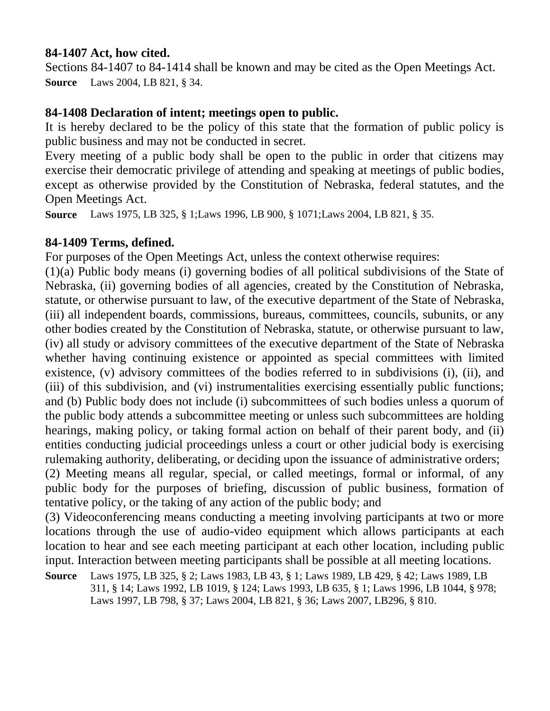#### **84-1407 Act, how cited.**

Sections 84-1407 to 84-1414 shall be known and may be cited as the Open Meetings Act. **Source** Laws 2004, LB 821, § 34.

#### **84-1408 Declaration of intent; meetings open to public.**

It is hereby declared to be the policy of this state that the formation of public policy is public business and may not be conducted in secret.

Every meeting of a public body shall be open to the public in order that citizens may exercise their democratic privilege of attending and speaking at meetings of public bodies, except as otherwise provided by the Constitution of Nebraska, federal statutes, and the Open Meetings Act.

**Source** Laws 1975, LB 325, § 1;Laws 1996, LB 900, § 1071;Laws 2004, LB 821, § 35.

#### **84-1409 Terms, defined.**

For purposes of the Open Meetings Act, unless the context otherwise requires:

(1)(a) Public body means (i) governing bodies of all political subdivisions of the State of Nebraska, (ii) governing bodies of all agencies, created by the Constitution of Nebraska, statute, or otherwise pursuant to law, of the executive department of the State of Nebraska, (iii) all independent boards, commissions, bureaus, committees, councils, subunits, or any other bodies created by the Constitution of Nebraska, statute, or otherwise pursuant to law, (iv) all study or advisory committees of the executive department of the State of Nebraska whether having continuing existence or appointed as special committees with limited existence, (v) advisory committees of the bodies referred to in subdivisions (i), (ii), and (iii) of this subdivision, and (vi) instrumentalities exercising essentially public functions; and (b) Public body does not include (i) subcommittees of such bodies unless a quorum of the public body attends a subcommittee meeting or unless such subcommittees are holding hearings, making policy, or taking formal action on behalf of their parent body, and (ii) entities conducting judicial proceedings unless a court or other judicial body is exercising rulemaking authority, deliberating, or deciding upon the issuance of administrative orders; (2) Meeting means all regular, special, or called meetings, formal or informal, of any public body for the purposes of briefing, discussion of public business, formation of tentative policy, or the taking of any action of the public body; and

(3) Videoconferencing means conducting a meeting involving participants at two or more locations through the use of audio-video equipment which allows participants at each location to hear and see each meeting participant at each other location, including public input. Interaction between meeting participants shall be possible at all meeting locations.

**Source** Laws 1975, LB 325, § 2; Laws 1983, LB 43, § 1; Laws 1989, LB 429, § 42; Laws 1989, LB 311, § 14; Laws 1992, LB 1019, § 124; Laws 1993, LB 635, § 1; Laws 1996, LB 1044, § 978; Laws 1997, LB 798, § 37; Laws 2004, LB 821, § 36; Laws 2007, LB296, § 810.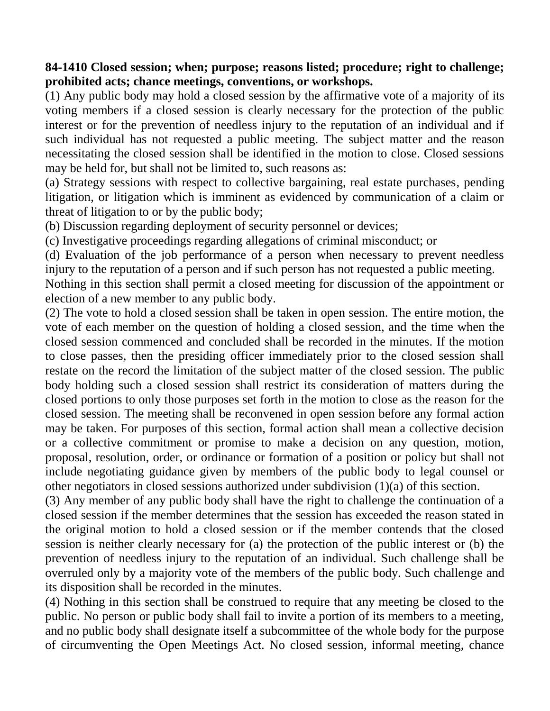#### **84-1410 Closed session; when; purpose; reasons listed; procedure; right to challenge; prohibited acts; chance meetings, conventions, or workshops.**

(1) Any public body may hold a closed session by the affirmative vote of a majority of its voting members if a closed session is clearly necessary for the protection of the public interest or for the prevention of needless injury to the reputation of an individual and if such individual has not requested a public meeting. The subject matter and the reason necessitating the closed session shall be identified in the motion to close. Closed sessions may be held for, but shall not be limited to, such reasons as:

(a) Strategy sessions with respect to collective bargaining, real estate purchases, pending litigation, or litigation which is imminent as evidenced by communication of a claim or threat of litigation to or by the public body;

(b) Discussion regarding deployment of security personnel or devices;

(c) Investigative proceedings regarding allegations of criminal misconduct; or

(d) Evaluation of the job performance of a person when necessary to prevent needless injury to the reputation of a person and if such person has not requested a public meeting.

Nothing in this section shall permit a closed meeting for discussion of the appointment or election of a new member to any public body.

(2) The vote to hold a closed session shall be taken in open session. The entire motion, the vote of each member on the question of holding a closed session, and the time when the closed session commenced and concluded shall be recorded in the minutes. If the motion to close passes, then the presiding officer immediately prior to the closed session shall restate on the record the limitation of the subject matter of the closed session. The public body holding such a closed session shall restrict its consideration of matters during the closed portions to only those purposes set forth in the motion to close as the reason for the closed session. The meeting shall be reconvened in open session before any formal action may be taken. For purposes of this section, formal action shall mean a collective decision or a collective commitment or promise to make a decision on any question, motion, proposal, resolution, order, or ordinance or formation of a position or policy but shall not include negotiating guidance given by members of the public body to legal counsel or other negotiators in closed sessions authorized under subdivision (1)(a) of this section.

(3) Any member of any public body shall have the right to challenge the continuation of a closed session if the member determines that the session has exceeded the reason stated in the original motion to hold a closed session or if the member contends that the closed session is neither clearly necessary for (a) the protection of the public interest or (b) the prevention of needless injury to the reputation of an individual. Such challenge shall be overruled only by a majority vote of the members of the public body. Such challenge and its disposition shall be recorded in the minutes.

(4) Nothing in this section shall be construed to require that any meeting be closed to the public. No person or public body shall fail to invite a portion of its members to a meeting, and no public body shall designate itself a subcommittee of the whole body for the purpose of circumventing the Open Meetings Act. No closed session, informal meeting, chance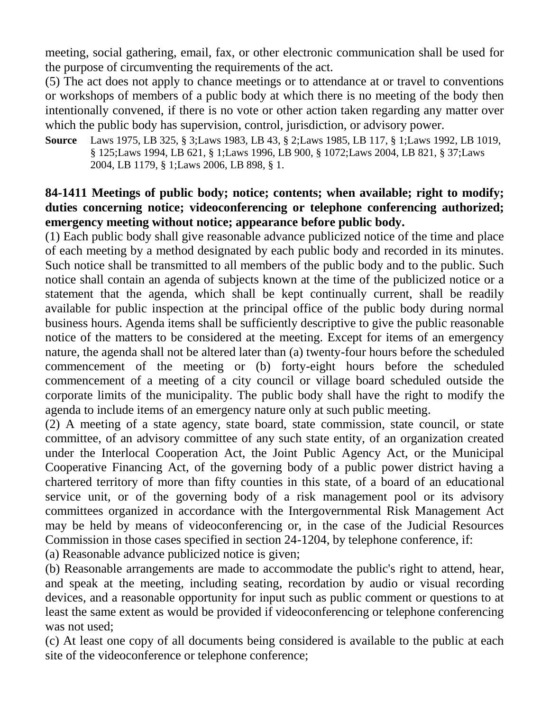meeting, social gathering, email, fax, or other electronic communication shall be used for the purpose of circumventing the requirements of the act.

(5) The act does not apply to chance meetings or to attendance at or travel to conventions or workshops of members of a public body at which there is no meeting of the body then intentionally convened, if there is no vote or other action taken regarding any matter over which the public body has supervision, control, jurisdiction, or advisory power.

**Source** Laws 1975, LB 325, § 3;Laws 1983, LB 43, § 2;Laws 1985, LB 117, § 1;Laws 1992, LB 1019, § 125;Laws 1994, LB 621, § 1;Laws 1996, LB 900, § 1072;Laws 2004, LB 821, § 37;Laws 2004, LB 1179, § 1;Laws 2006, LB 898, § 1.

# **84-1411 Meetings of public body; notice; contents; when available; right to modify; duties concerning notice; videoconferencing or telephone conferencing authorized; emergency meeting without notice; appearance before public body.**

(1) Each public body shall give reasonable advance publicized notice of the time and place of each meeting by a method designated by each public body and recorded in its minutes. Such notice shall be transmitted to all members of the public body and to the public. Such notice shall contain an agenda of subjects known at the time of the publicized notice or a statement that the agenda, which shall be kept continually current, shall be readily available for public inspection at the principal office of the public body during normal business hours. Agenda items shall be sufficiently descriptive to give the public reasonable notice of the matters to be considered at the meeting. Except for items of an emergency nature, the agenda shall not be altered later than (a) twenty-four hours before the scheduled commencement of the meeting or (b) forty-eight hours before the scheduled commencement of a meeting of a city council or village board scheduled outside the corporate limits of the municipality. The public body shall have the right to modify the agenda to include items of an emergency nature only at such public meeting.

(2) A meeting of a state agency, state board, state commission, state council, or state committee, of an advisory committee of any such state entity, of an organization created under the Interlocal Cooperation Act, the Joint Public Agency Act, or the Municipal Cooperative Financing Act, of the governing body of a public power district having a chartered territory of more than fifty counties in this state, of a board of an educational service unit, or of the governing body of a risk management pool or its advisory committees organized in accordance with the Intergovernmental Risk Management Act may be held by means of videoconferencing or, in the case of the Judicial Resources Commission in those cases specified in section 24-1204, by telephone conference, if:

(a) Reasonable advance publicized notice is given;

(b) Reasonable arrangements are made to accommodate the public's right to attend, hear, and speak at the meeting, including seating, recordation by audio or visual recording devices, and a reasonable opportunity for input such as public comment or questions to at least the same extent as would be provided if videoconferencing or telephone conferencing was not used;

(c) At least one copy of all documents being considered is available to the public at each site of the videoconference or telephone conference;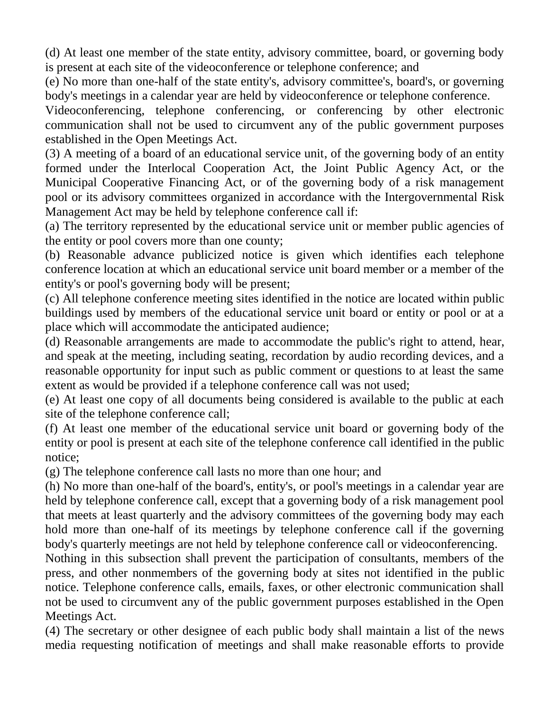(d) At least one member of the state entity, advisory committee, board, or governing body is present at each site of the videoconference or telephone conference; and

(e) No more than one-half of the state entity's, advisory committee's, board's, or governing body's meetings in a calendar year are held by videoconference or telephone conference.

Videoconferencing, telephone conferencing, or conferencing by other electronic communication shall not be used to circumvent any of the public government purposes established in the Open Meetings Act.

(3) A meeting of a board of an educational service unit, of the governing body of an entity formed under the Interlocal Cooperation Act, the Joint Public Agency Act, or the Municipal Cooperative Financing Act, or of the governing body of a risk management pool or its advisory committees organized in accordance with the Intergovernmental Risk Management Act may be held by telephone conference call if:

(a) The territory represented by the educational service unit or member public agencies of the entity or pool covers more than one county;

(b) Reasonable advance publicized notice is given which identifies each telephone conference location at which an educational service unit board member or a member of the entity's or pool's governing body will be present;

(c) All telephone conference meeting sites identified in the notice are located within public buildings used by members of the educational service unit board or entity or pool or at a place which will accommodate the anticipated audience;

(d) Reasonable arrangements are made to accommodate the public's right to attend, hear, and speak at the meeting, including seating, recordation by audio recording devices, and a reasonable opportunity for input such as public comment or questions to at least the same extent as would be provided if a telephone conference call was not used;

(e) At least one copy of all documents being considered is available to the public at each site of the telephone conference call;

(f) At least one member of the educational service unit board or governing body of the entity or pool is present at each site of the telephone conference call identified in the public notice;

(g) The telephone conference call lasts no more than one hour; and

(h) No more than one-half of the board's, entity's, or pool's meetings in a calendar year are held by telephone conference call, except that a governing body of a risk management pool that meets at least quarterly and the advisory committees of the governing body may each hold more than one-half of its meetings by telephone conference call if the governing body's quarterly meetings are not held by telephone conference call or videoconferencing.

Nothing in this subsection shall prevent the participation of consultants, members of the press, and other nonmembers of the governing body at sites not identified in the public notice. Telephone conference calls, emails, faxes, or other electronic communication shall not be used to circumvent any of the public government purposes established in the Open Meetings Act.

(4) The secretary or other designee of each public body shall maintain a list of the news media requesting notification of meetings and shall make reasonable efforts to provide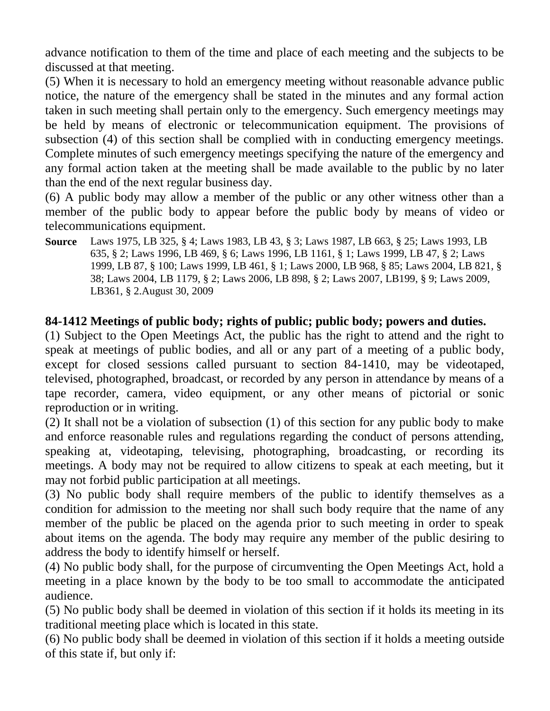advance notification to them of the time and place of each meeting and the subjects to be discussed at that meeting.

(5) When it is necessary to hold an emergency meeting without reasonable advance public notice, the nature of the emergency shall be stated in the minutes and any formal action taken in such meeting shall pertain only to the emergency. Such emergency meetings may be held by means of electronic or telecommunication equipment. The provisions of subsection (4) of this section shall be complied with in conducting emergency meetings. Complete minutes of such emergency meetings specifying the nature of the emergency and any formal action taken at the meeting shall be made available to the public by no later than the end of the next regular business day.

(6) A public body may allow a member of the public or any other witness other than a member of the public body to appear before the public body by means of video or telecommunications equipment.

**Source** Laws 1975, LB 325, § 4; Laws 1983, LB 43, § 3; Laws 1987, LB 663, § 25; Laws 1993, LB 635, § 2; Laws 1996, LB 469, § 6; Laws 1996, LB 1161, § 1; Laws 1999, LB 47, § 2; Laws 1999, LB 87, § 100; Laws 1999, LB 461, § 1; Laws 2000, LB 968, § 85; Laws 2004, LB 821, § 38; Laws 2004, LB 1179, § 2; Laws 2006, LB 898, § 2; Laws 2007, LB199, § 9; Laws 2009, LB361, § 2.August 30, 2009

# **84-1412 Meetings of public body; rights of public; public body; powers and duties.**

(1) Subject to the Open Meetings Act, the public has the right to attend and the right to speak at meetings of public bodies, and all or any part of a meeting of a public body, except for closed sessions called pursuant to section 84-1410, may be videotaped, televised, photographed, broadcast, or recorded by any person in attendance by means of a tape recorder, camera, video equipment, or any other means of pictorial or sonic reproduction or in writing.

(2) It shall not be a violation of subsection (1) of this section for any public body to make and enforce reasonable rules and regulations regarding the conduct of persons attending, speaking at, videotaping, televising, photographing, broadcasting, or recording its meetings. A body may not be required to allow citizens to speak at each meeting, but it may not forbid public participation at all meetings.

(3) No public body shall require members of the public to identify themselves as a condition for admission to the meeting nor shall such body require that the name of any member of the public be placed on the agenda prior to such meeting in order to speak about items on the agenda. The body may require any member of the public desiring to address the body to identify himself or herself.

(4) No public body shall, for the purpose of circumventing the Open Meetings Act, hold a meeting in a place known by the body to be too small to accommodate the anticipated audience.

(5) No public body shall be deemed in violation of this section if it holds its meeting in its traditional meeting place which is located in this state.

(6) No public body shall be deemed in violation of this section if it holds a meeting outside of this state if, but only if: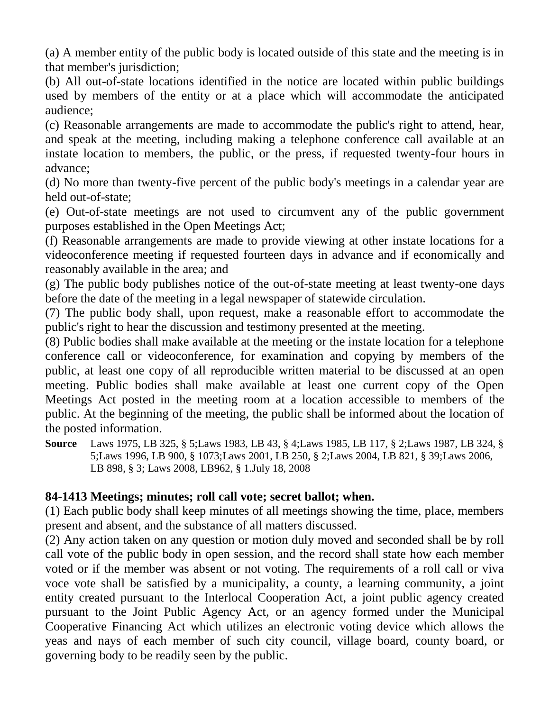(a) A member entity of the public body is located outside of this state and the meeting is in that member's jurisdiction;

(b) All out-of-state locations identified in the notice are located within public buildings used by members of the entity or at a place which will accommodate the anticipated audience;

(c) Reasonable arrangements are made to accommodate the public's right to attend, hear, and speak at the meeting, including making a telephone conference call available at an instate location to members, the public, or the press, if requested twenty-four hours in advance;

(d) No more than twenty-five percent of the public body's meetings in a calendar year are held out-of-state;

(e) Out-of-state meetings are not used to circumvent any of the public government purposes established in the Open Meetings Act;

(f) Reasonable arrangements are made to provide viewing at other instate locations for a videoconference meeting if requested fourteen days in advance and if economically and reasonably available in the area; and

(g) The public body publishes notice of the out-of-state meeting at least twenty-one days before the date of the meeting in a legal newspaper of statewide circulation.

(7) The public body shall, upon request, make a reasonable effort to accommodate the public's right to hear the discussion and testimony presented at the meeting.

(8) Public bodies shall make available at the meeting or the instate location for a telephone conference call or videoconference, for examination and copying by members of the public, at least one copy of all reproducible written material to be discussed at an open meeting. Public bodies shall make available at least one current copy of the Open Meetings Act posted in the meeting room at a location accessible to members of the public. At the beginning of the meeting, the public shall be informed about the location of the posted information.

**Source** Laws 1975, LB 325, § 5;Laws 1983, LB 43, § 4;Laws 1985, LB 117, § 2;Laws 1987, LB 324, § 5;Laws 1996, LB 900, § 1073;Laws 2001, LB 250, § 2;Laws 2004, LB 821, § 39;Laws 2006, LB 898, § 3; Laws 2008, LB962, § 1.July 18, 2008

# **84-1413 Meetings; minutes; roll call vote; secret ballot; when.**

(1) Each public body shall keep minutes of all meetings showing the time, place, members present and absent, and the substance of all matters discussed.

(2) Any action taken on any question or motion duly moved and seconded shall be by roll call vote of the public body in open session, and the record shall state how each member voted or if the member was absent or not voting. The requirements of a roll call or viva voce vote shall be satisfied by a municipality, a county, a learning community, a joint entity created pursuant to the Interlocal Cooperation Act, a joint public agency created pursuant to the Joint Public Agency Act, or an agency formed under the Municipal Cooperative Financing Act which utilizes an electronic voting device which allows the yeas and nays of each member of such city council, village board, county board, or governing body to be readily seen by the public.